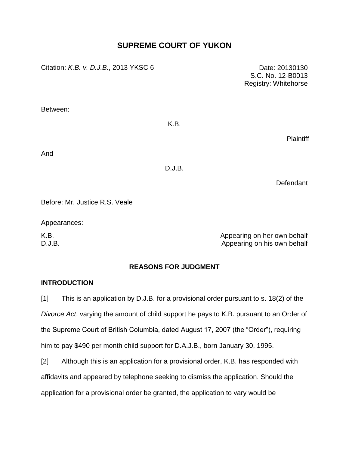# **SUPREME COURT OF YUKON**

Citation: *K.B. v. D.J.B.*, 2013 YKSC 6 Date: 20130130

S.C. No. 12-B0013 Registry: Whitehorse

Between:

K.B.

**Plaintiff** 

And

D.J.B.

Defendant

Before: Mr. Justice R.S. Veale

Appearances:

K.B. **Appearing on her own behalf** D.J.B. Appearing on his own behalf

## **REASONS FOR JUDGMENT**

#### **INTRODUCTION**

[1] This is an application by D.J.B. for a provisional order pursuant to s. 18(2) of the *Divorce Act*, varying the amount of child support he pays to K.B. pursuant to an Order of the Supreme Court of British Columbia, dated August 17, 2007 (the "Order"), requiring him to pay \$490 per month child support for D.A.J.B., born January 30, 1995.

[2] Although this is an application for a provisional order, K.B. has responded with affidavits and appeared by telephone seeking to dismiss the application. Should the application for a provisional order be granted, the application to vary would be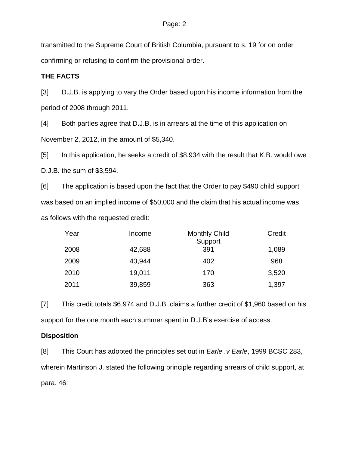transmitted to the Supreme Court of British Columbia, pursuant to s. 19 for on order confirming or refusing to confirm the provisional order.

## **THE FACTS**

[3] D.J.B. is applying to vary the Order based upon his income information from the period of 2008 through 2011.

[4] Both parties agree that D.J.B. is in arrears at the time of this application on November 2, 2012, in the amount of \$5,340.

[5] In this application, he seeks a credit of \$8,934 with the result that K.B. would owe D.J.B. the sum of \$3,594.

[6] The application is based upon the fact that the Order to pay \$490 child support was based on an implied income of \$50,000 and the claim that his actual income was as follows with the requested credit:

| Year | Income | <b>Monthly Child</b><br>Support | Credit |
|------|--------|---------------------------------|--------|
| 2008 | 42,688 | 391                             | 1,089  |
| 2009 | 43,944 | 402                             | 968    |
| 2010 | 19,011 | 170                             | 3,520  |
| 2011 | 39,859 | 363                             | 1,397  |

[7] This credit totals \$6,974 and D.J.B. claims a further credit of \$1,960 based on his support for the one month each summer spent in D.J.B's exercise of access.

## **Disposition**

[8] This Court has adopted the principles set out in *Earle .v Earle*, 1999 BCSC 283, wherein Martinson J. stated the following principle regarding arrears of child support, at para. 46: